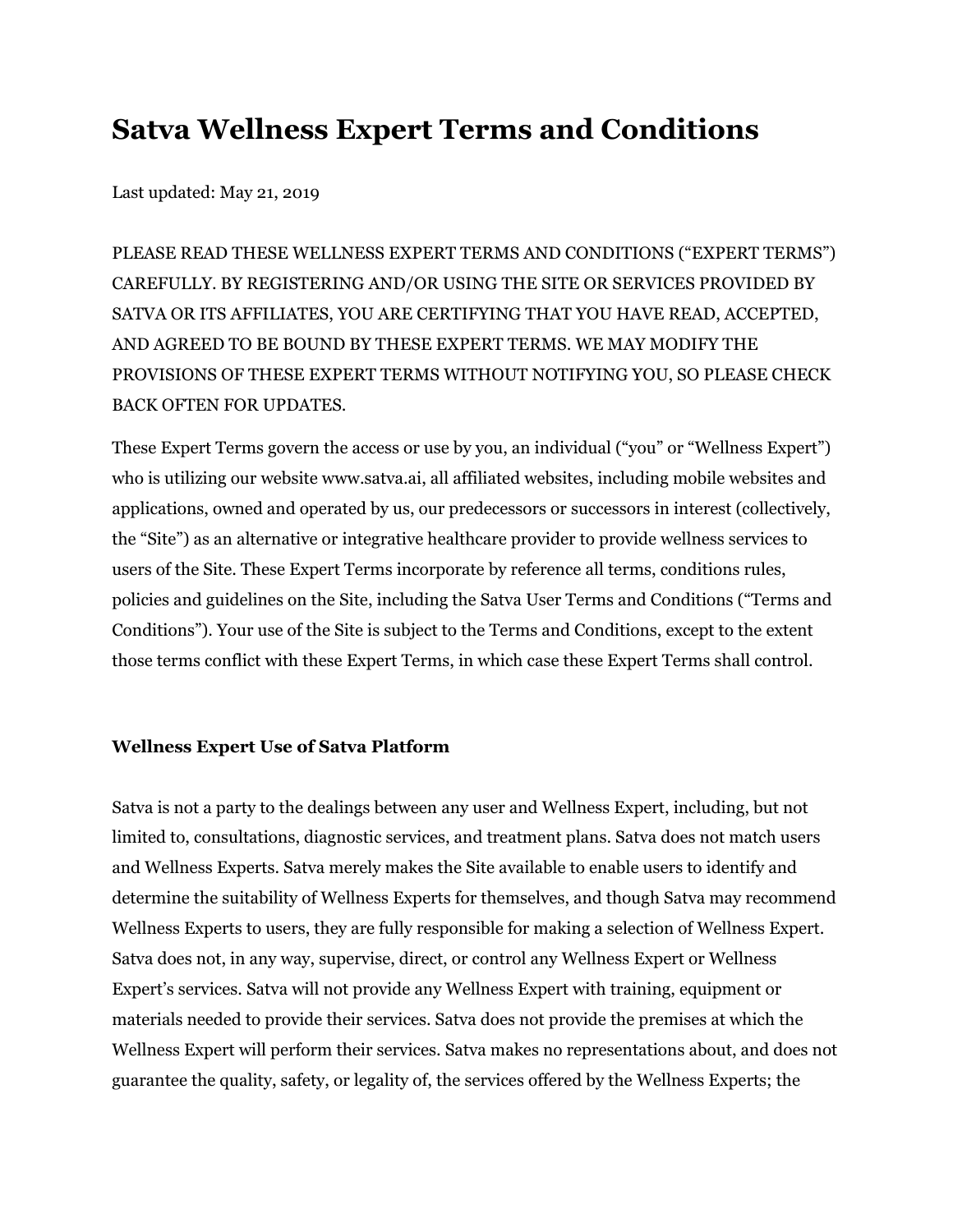# **Satva Wellness Expert Terms and Conditions**

Last updated: May 21, 2019

PLEASE READ THESE WELLNESS EXPERT TERMS AND CONDITIONS ("EXPERT TERMS") CAREFULLY. BY REGISTERING AND/OR USING THE SITE OR SERVICES PROVIDED BY SATVA OR ITS AFFILIATES, YOU ARE CERTIFYING THAT YOU HAVE READ, ACCEPTED, AND AGREED TO BE BOUND BY THESE EXPERT TERMS. WE MAY MODIFY THE PROVISIONS OF THESE EXPERT TERMS WITHOUT NOTIFYING YOU, SO PLEASE CHECK BACK OFTEN FOR UPDATES.

These Expert Terms govern the access or use by you, an individual ("you" or "Wellness Expert") who is utilizing our website [www.satva.ai](https://www.expertdb.com/), all affiliated websites, including mobile websites and applications, owned and operated by us, our predecessors or successors in interest (collectively, the "Site") as an alternative or integrative healthcare provider to provide wellness services to users of the Site. These Expert Terms incorporate by reference all terms, conditions rules, policies and guidelines on the Site, including the Satva User Terms and Conditions ("Terms and Conditions"). Your use of the Site is subject to the Terms and Conditions, except to the extent those terms conflict with these Expert Terms, in which case these Expert Terms shall control.

#### **Wellness Expert Use of Satva Platform**

Satva is not a party to the dealings between any user and Wellness Expert, including, but not limited to, consultations, diagnostic services, and treatment plans. Satva does not match users and Wellness Experts. Satva merely makes the Site available to enable users to identify and determine the suitability of Wellness Experts for themselves, and though Satva may recommend Wellness Experts to users, they are fully responsible for making a selection of Wellness Expert. Satva does not, in any way, supervise, direct, or control any Wellness Expert or Wellness Expert's services. Satva will not provide any Wellness Expert with training, equipment or materials needed to provide their services. Satva does not provide the premises at which the Wellness Expert will perform their services. Satva makes no representations about, and does not guarantee the quality, safety, or legality of, the services offered by the Wellness Experts; the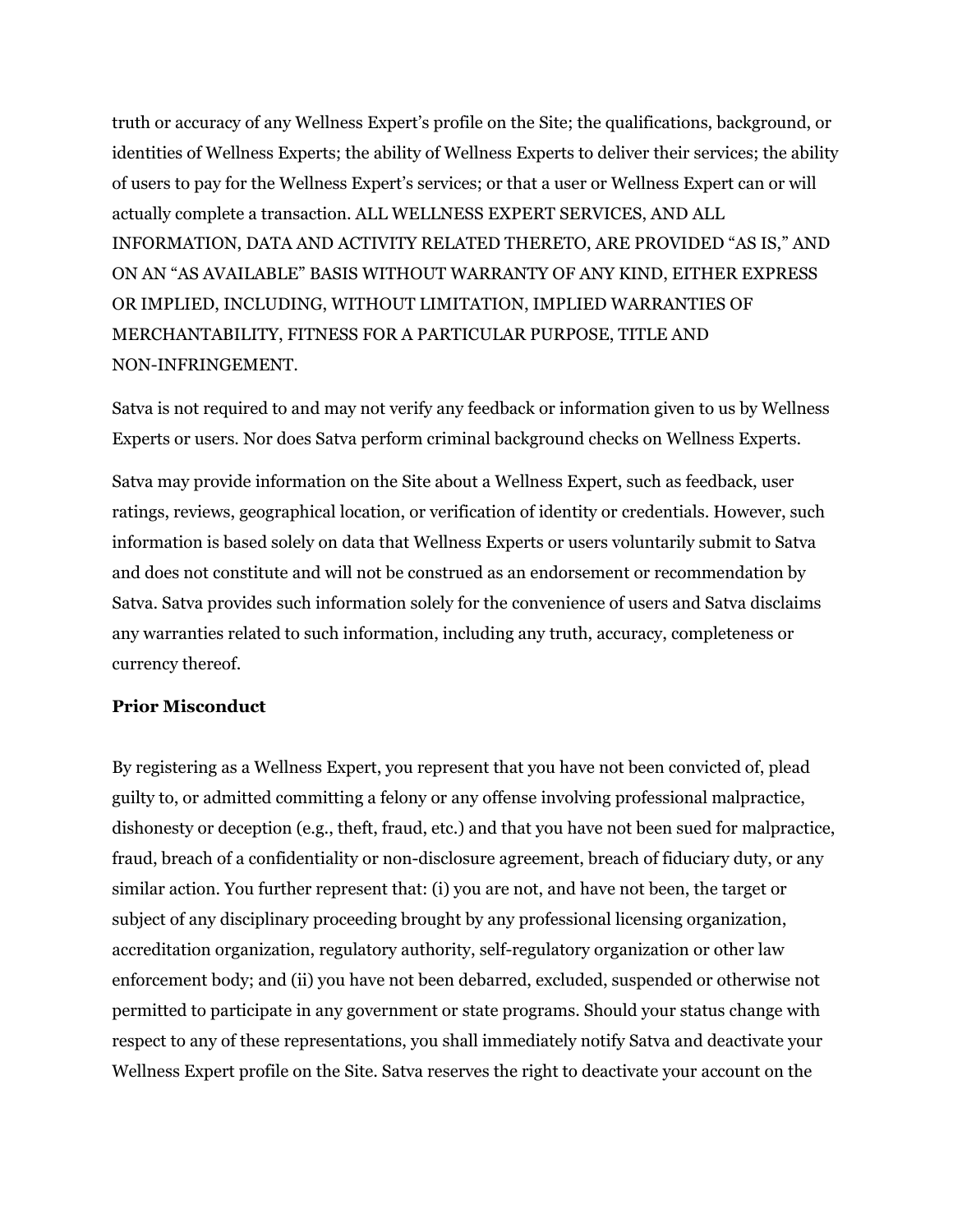truth or accuracy of any Wellness Expert's profile on the Site; the qualifications, background, or identities of Wellness Experts; the ability of Wellness Experts to deliver their services; the ability of users to pay for the Wellness Expert's services; or that a user or Wellness Expert can or will actually complete a transaction. ALL WELLNESS EXPERT SERVICES, AND ALL INFORMATION, DATA AND ACTIVITY RELATED THERETO, ARE PROVIDED "AS IS," AND ON AN "AS AVAILABLE" BASIS WITHOUT WARRANTY OF ANY KIND, EITHER EXPRESS OR IMPLIED, INCLUDING, WITHOUT LIMITATION, IMPLIED WARRANTIES OF MERCHANTABILITY, FITNESS FOR A PARTICULAR PURPOSE, TITLE AND NON-INFRINGEMENT.

Satva is not required to and may not verify any feedback or information given to us by Wellness Experts or users. Nor does Satva perform criminal background checks on Wellness Experts.

Satva may provide information on the Site about a Wellness Expert, such as feedback, user ratings, reviews, geographical location, or verification of identity or credentials. However, such information is based solely on data that Wellness Experts or users voluntarily submit to Satva and does not constitute and will not be construed as an endorsement or recommendation by Satva. Satva provides such information solely for the convenience of users and Satva disclaims any warranties related to such information, including any truth, accuracy, completeness or currency thereof.

#### **Prior Misconduct**

By registering as a Wellness Expert, you represent that you have not been convicted of, plead guilty to, or admitted committing a felony or any offense involving professional malpractice, dishonesty or deception (e.g., theft, fraud, etc.) and that you have not been sued for malpractice, fraud, breach of a confidentiality or non-disclosure agreement, breach of fiduciary duty, or any similar action. You further represent that: (i) you are not, and have not been, the target or subject of any disciplinary proceeding brought by any professional licensing organization, accreditation organization, regulatory authority, self-regulatory organization or other law enforcement body; and (ii) you have not been debarred, excluded, suspended or otherwise not permitted to participate in any government or state programs. Should your status change with respect to any of these representations, you shall immediately notify Satva and deactivate your Wellness Expert profile on the Site. Satva reserves the right to deactivate your account on the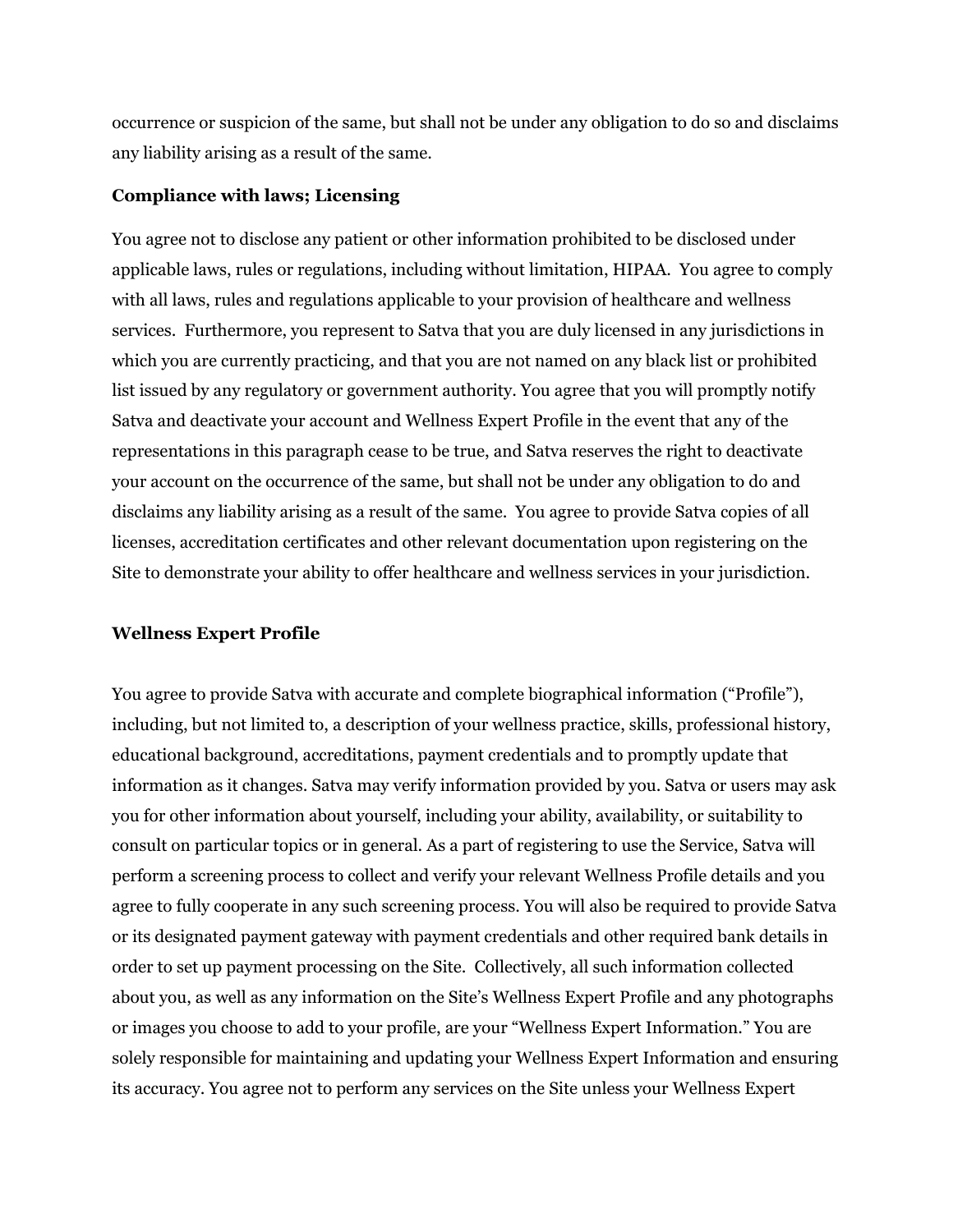occurrence or suspicion of the same, but shall not be under any obligation to do so and disclaims any liability arising as a result of the same.

#### **Compliance with laws; Licensing**

You agree not to disclose any patient or other information prohibited to be disclosed under applicable laws, rules or regulations, including without limitation, HIPAA. You agree to comply with all laws, rules and regulations applicable to your provision of healthcare and wellness services. Furthermore, you represent to Satva that you are duly licensed in any jurisdictions in which you are currently practicing, and that you are not named on any black list or prohibited list issued by any regulatory or government authority. You agree that you will promptly notify Satva and deactivate your account and Wellness Expert Profile in the event that any of the representations in this paragraph cease to be true, and Satva reserves the right to deactivate your account on the occurrence of the same, but shall not be under any obligation to do and disclaims any liability arising as a result of the same. You agree to provide Satva copies of all licenses, accreditation certificates and other relevant documentation upon registering on the Site to demonstrate your ability to offer healthcare and wellness services in your jurisdiction.

#### **Wellness Expert Profile**

You agree to provide Satva with accurate and complete biographical information ("Profile"), including, but not limited to, a description of your wellness practice, skills, professional history, educational background, accreditations, payment credentials and to promptly update that information as it changes. Satva may verify information provided by you. Satva or users may ask you for other information about yourself, including your ability, availability, or suitability to consult on particular topics or in general. As a part of registering to use the Service, Satva will perform a screening process to collect and verify your relevant Wellness Profile details and you agree to fully cooperate in any such screening process. You will also be required to provide Satva or its designated payment gateway with payment credentials and other required bank details in order to set up payment processing on the Site. Collectively, all such information collected about you, as well as any information on the Site's Wellness Expert Profile and any photographs or images you choose to add to your profile, are your "Wellness Expert Information." You are solely responsible for maintaining and updating your Wellness Expert Information and ensuring its accuracy. You agree not to perform any services on the Site unless your Wellness Expert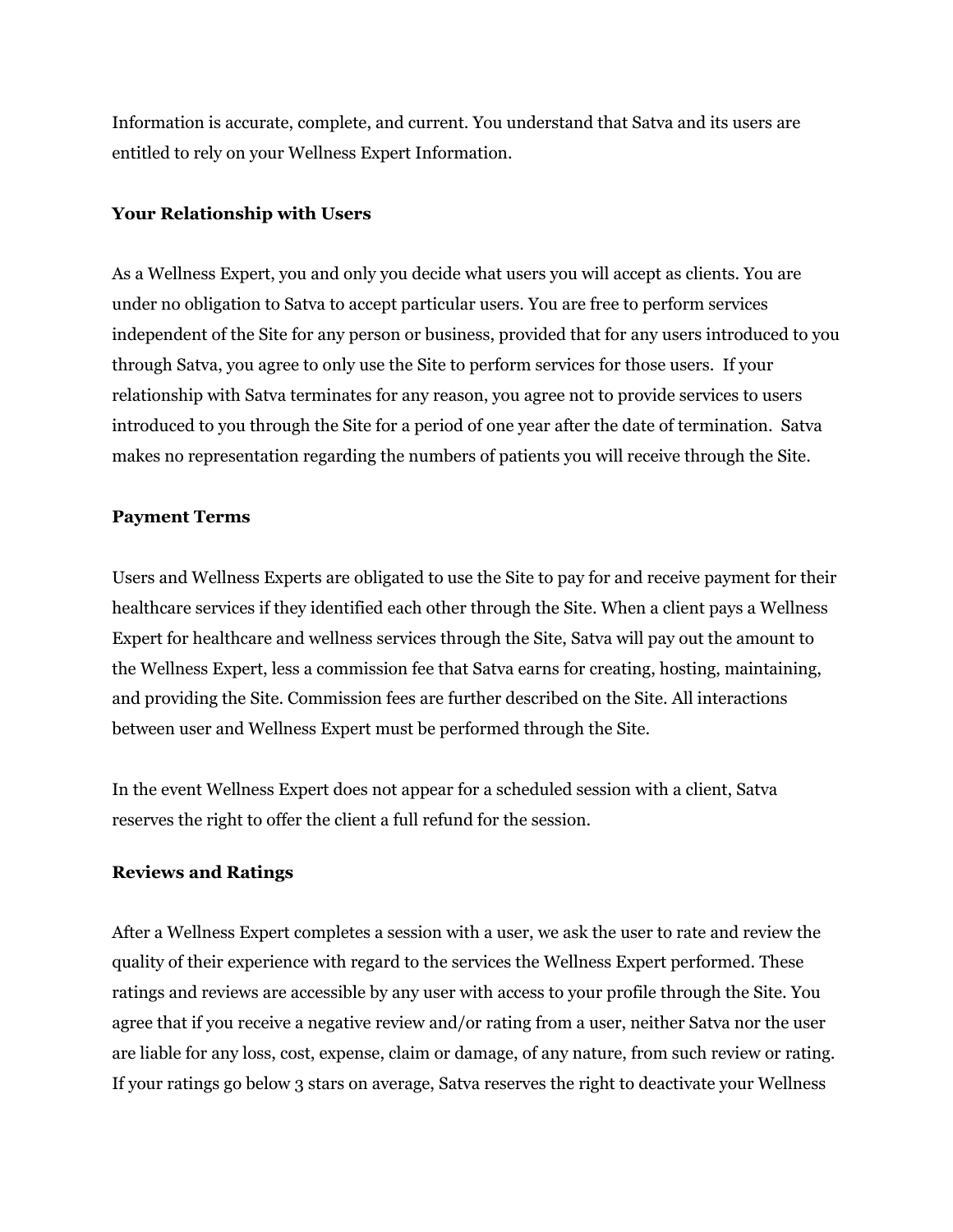Information is accurate, complete, and current. You understand that Satva and its users are entitled to rely on your Wellness Expert Information.

#### **Your Relationship with Users**

As a Wellness Expert, you and only you decide what users you will accept as clients. You are under no obligation to Satva to accept particular users. You are free to perform services independent of the Site for any person or business, provided that for any users introduced to you through Satva, you agree to only use the Site to perform services for those users. If your relationship with Satva terminates for any reason, you agree not to provide services to users introduced to you through the Site for a period of one year after the date of termination. Satva makes no representation regarding the numbers of patients you will receive through the Site.

#### **Payment Terms**

Users and Wellness Experts are obligated to use the Site to pay for and receive payment for their healthcare services if they identified each other through the Site. When a client pays a Wellness Expert for healthcare and wellness services through the Site, Satva will pay out the amount to the Wellness Expert, less a commission fee that Satva earns for creating, hosting, maintaining, and providing the Site. Commission fees are further described on the Site. All interactions between user and Wellness Expert must be performed through the Site.

In the event Wellness Expert does not appear for a scheduled session with a client, Satva reserves the right to offer the client a full refund for the session.

### **Reviews and Ratings**

After a Wellness Expert completes a session with a user, we ask the user to rate and review the quality of their experience with regard to the services the Wellness Expert performed. These ratings and reviews are accessible by any user with access to your profile through the Site. You agree that if you receive a negative review and/or rating from a user, neither Satva nor the user are liable for any loss, cost, expense, claim or damage, of any nature, from such review or rating. If your ratings go below 3 stars on average, Satva reserves the right to deactivate your Wellness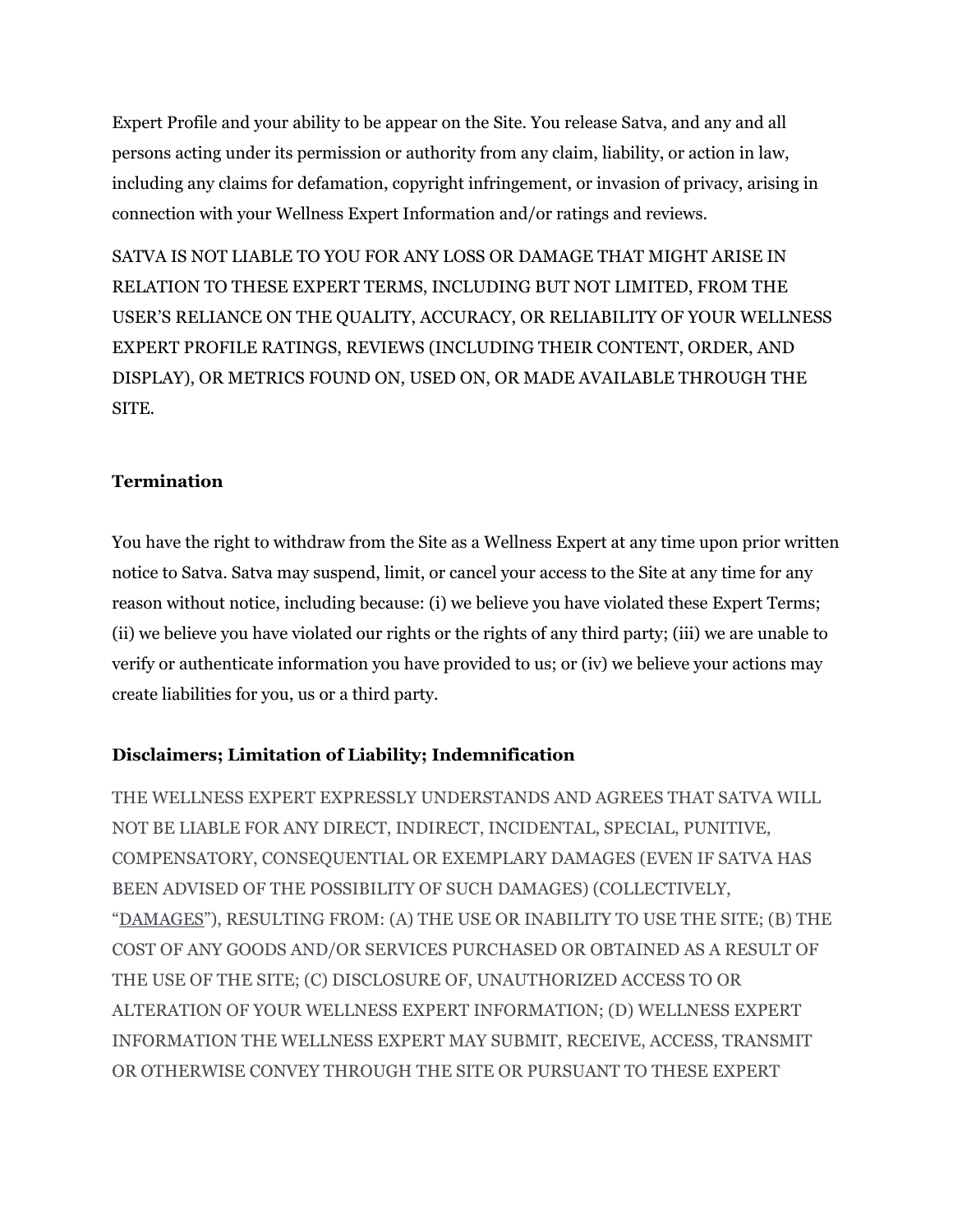Expert Profile and your ability to be appear on the Site. You release Satva, and any and all persons acting under its permission or authority from any claim, liability, or action in law, including any claims for defamation, copyright infringement, or invasion of privacy, arising in connection with your Wellness Expert Information and/or ratings and reviews.

SATVA IS NOT LIABLE TO YOU FOR ANY LOSS OR DAMAGE THAT MIGHT ARISE IN RELATION TO THESE EXPERT TERMS, INCLUDING BUT NOT LIMITED, FROM THE USER'S RELIANCE ON THE QUALITY, ACCURACY, OR RELIABILITY OF YOUR WELLNESS EXPERT PROFILE RATINGS, REVIEWS (INCLUDING THEIR CONTENT, ORDER, AND DISPLAY), OR METRICS FOUND ON, USED ON, OR MADE AVAILABLE THROUGH THE SITE.

## **Termination**

You have the right to withdraw from the Site as a Wellness Expert at any time upon prior written notice to Satva. Satva may suspend, limit, or cancel your access to the Site at any time for any reason without notice, including because: (i) we believe you have violated these Expert Terms; (ii) we believe you have violated our rights or the rights of any third party; (iii) we are unable to verify or authenticate information you have provided to us; or (iv) we believe your actions may create liabilities for you, us or a third party.

## **Disclaimers; Limitation of Liability; Indemnification**

THE WELLNESS EXPERT EXPRESSLY UNDERSTANDS AND AGREES THAT SATVA WILL NOT BE LIABLE FOR ANY DIRECT, INDIRECT, INCIDENTAL, SPECIAL, PUNITIVE, COMPENSATORY, CONSEQUENTIAL OR EXEMPLARY DAMAGES (EVEN IF SATVA HAS BEEN ADVISED OF THE POSSIBILITY OF SUCH DAMAGES) (COLLECTIVELY, "DAMAGES"), RESULTING FROM: (A) THE USE OR INABILITY TO USE THE SITE; (B) THE COST OF ANY GOODS AND/OR SERVICES PURCHASED OR OBTAINED AS A RESULT OF THE USE OF THE SITE; (C) DISCLOSURE OF, UNAUTHORIZED ACCESS TO OR ALTERATION OF YOUR WELLNESS EXPERT INFORMATION; (D) WELLNESS EXPERT INFORMATION THE WELLNESS EXPERT MAY SUBMIT, RECEIVE, ACCESS, TRANSMIT OR OTHERWISE CONVEY THROUGH THE SITE OR PURSUANT TO THESE EXPERT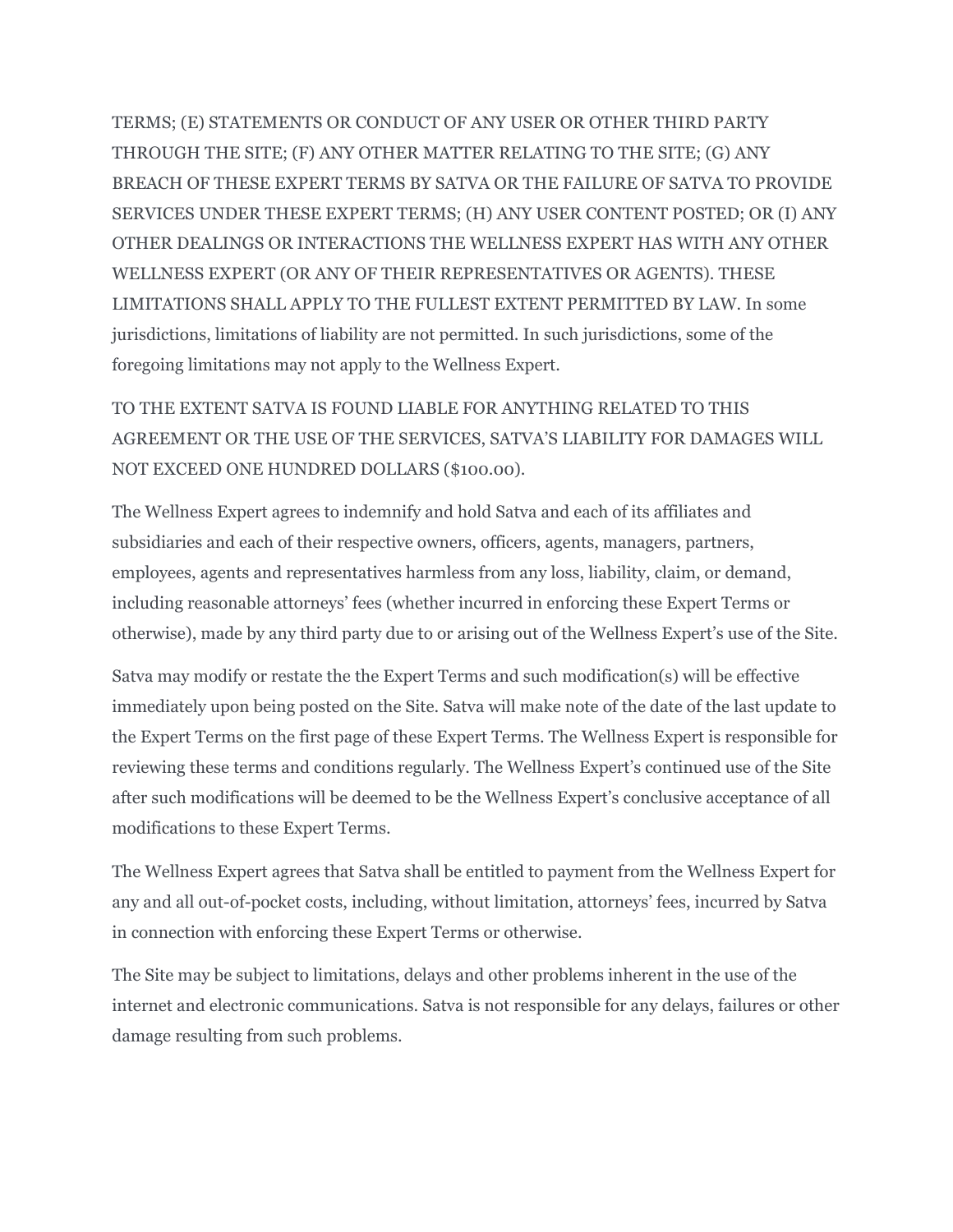TERMS; (E) STATEMENTS OR CONDUCT OF ANY USER OR OTHER THIRD PARTY THROUGH THE SITE; (F) ANY OTHER MATTER RELATING TO THE SITE; (G) ANY BREACH OF THESE EXPERT TERMS BY SATVA OR THE FAILURE OF SATVA TO PROVIDE SERVICES UNDER THESE EXPERT TERMS; (H) ANY USER CONTENT POSTED; OR (I) ANY OTHER DEALINGS OR INTERACTIONS THE WELLNESS EXPERT HAS WITH ANY OTHER WELLNESS EXPERT (OR ANY OF THEIR REPRESENTATIVES OR AGENTS). THESE LIMITATIONS SHALL APPLY TO THE FULLEST EXTENT PERMITTED BY LAW. In some jurisdictions, limitations of liability are not permitted. In such jurisdictions, some of the foregoing limitations may not apply to the Wellness Expert.

TO THE EXTENT SATVA IS FOUND LIABLE FOR ANYTHING RELATED TO THIS AGREEMENT OR THE USE OF THE SERVICES, SATVA'S LIABILITY FOR DAMAGES WILL NOT EXCEED ONE HUNDRED DOLLARS (\$100.00).

The Wellness Expert agrees to indemnify and hold Satva and each of its affiliates and subsidiaries and each of their respective owners, officers, agents, managers, partners, employees, agents and representatives harmless from any loss, liability, claim, or demand, including reasonable attorneys' fees (whether incurred in enforcing these Expert Terms or otherwise), made by any third party due to or arising out of the Wellness Expert's use of the Site.

Satva may modify or restate the the Expert Terms and such modification(s) will be effective immediately upon being posted on the Site. Satva will make note of the date of the last update to the Expert Terms on the first page of these Expert Terms. The Wellness Expert is responsible for reviewing these terms and conditions regularly. The Wellness Expert's continued use of the Site after such modifications will be deemed to be the Wellness Expert's conclusive acceptance of all modifications to these Expert Terms.

The Wellness Expert agrees that Satva shall be entitled to payment from the Wellness Expert for any and all out-of-pocket costs, including, without limitation, attorneys' fees, incurred by Satva in connection with enforcing these Expert Terms or otherwise.

The Site may be subject to limitations, delays and other problems inherent in the use of the internet and electronic communications. Satva is not responsible for any delays, failures or other damage resulting from such problems.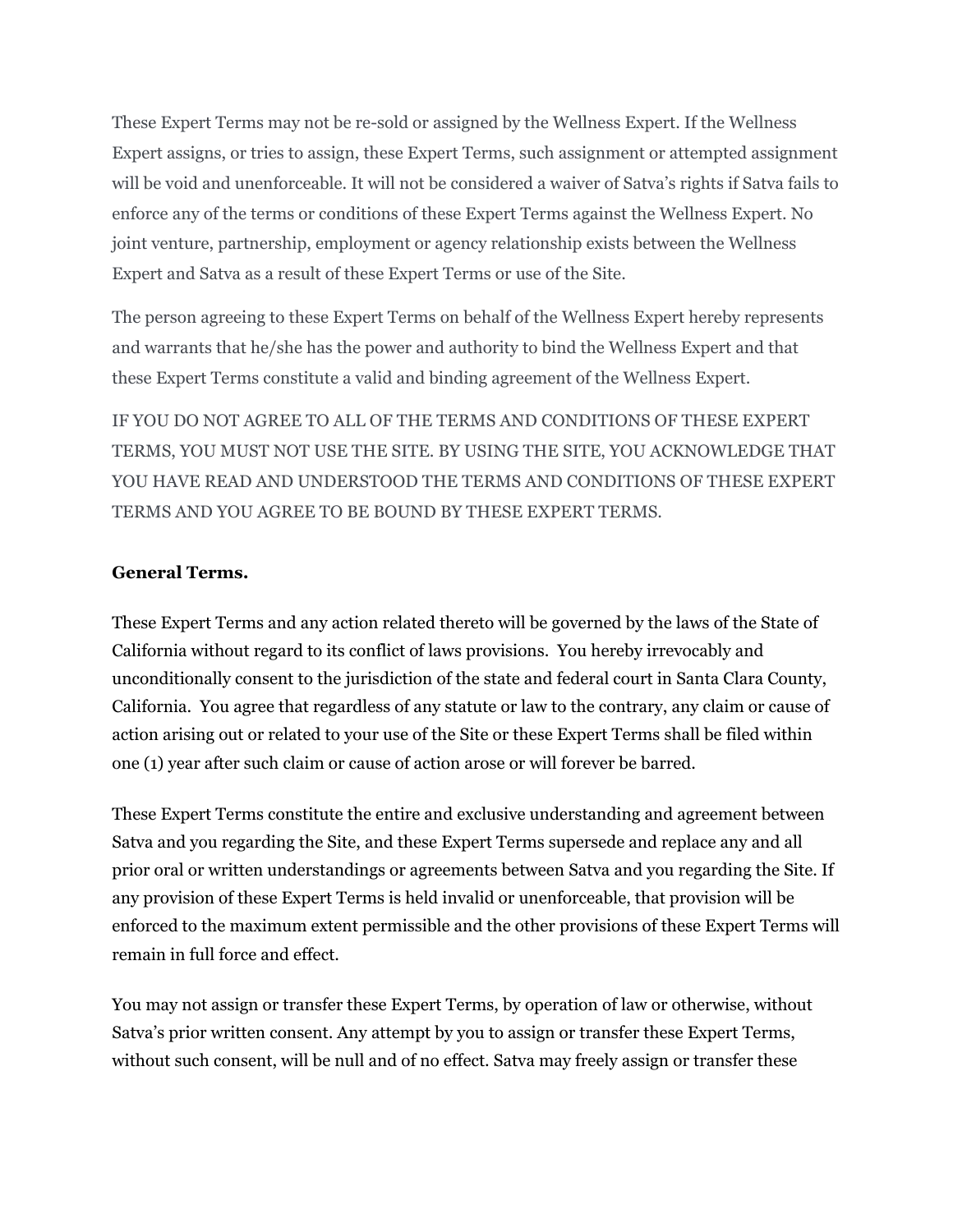These Expert Terms may not be re-sold or assigned by the Wellness Expert. If the Wellness Expert assigns, or tries to assign, these Expert Terms, such assignment or attempted assignment will be void and unenforceable. It will not be considered a waiver of Satva's rights if Satva fails to enforce any of the terms or conditions of these Expert Terms against the Wellness Expert. No joint venture, partnership, employment or agency relationship exists between the Wellness Expert and Satva as a result of these Expert Terms or use of the Site.

The person agreeing to these Expert Terms on behalf of the Wellness Expert hereby represents and warrants that he/she has the power and authority to bind the Wellness Expert and that these Expert Terms constitute a valid and binding agreement of the Wellness Expert.

IF YOU DO NOT AGREE TO ALL OF THE TERMS AND CONDITIONS OF THESE EXPERT TERMS, YOU MUST NOT USE THE SITE. BY USING THE SITE, YOU ACKNOWLEDGE THAT YOU HAVE READ AND UNDERSTOOD THE TERMS AND CONDITIONS OF THESE EXPERT TERMS AND YOU AGREE TO BE BOUND BY THESE EXPERT TERMS.

### **General Terms.**

These Expert Terms and any action related thereto will be governed by the laws of the State of California without regard to its conflict of laws provisions. You hereby irrevocably and unconditionally consent to the jurisdiction of the state and federal court in Santa Clara County, California. You agree that regardless of any statute or law to the contrary, any claim or cause of action arising out or related to your use of the Site or these Expert Terms shall be filed within one (1) year after such claim or cause of action arose or will forever be barred.

These Expert Terms constitute the entire and exclusive understanding and agreement between Satva and you regarding the Site, and these Expert Terms supersede and replace any and all prior oral or written understandings or agreements between Satva and you regarding the Site. If any provision of these Expert Terms is held invalid or unenforceable, that provision will be enforced to the maximum extent permissible and the other provisions of these Expert Terms will remain in full force and effect.

You may not assign or transfer these Expert Terms, by operation of law or otherwise, without Satva's prior written consent. Any attempt by you to assign or transfer these Expert Terms, without such consent, will be null and of no effect. Satva may freely assign or transfer these